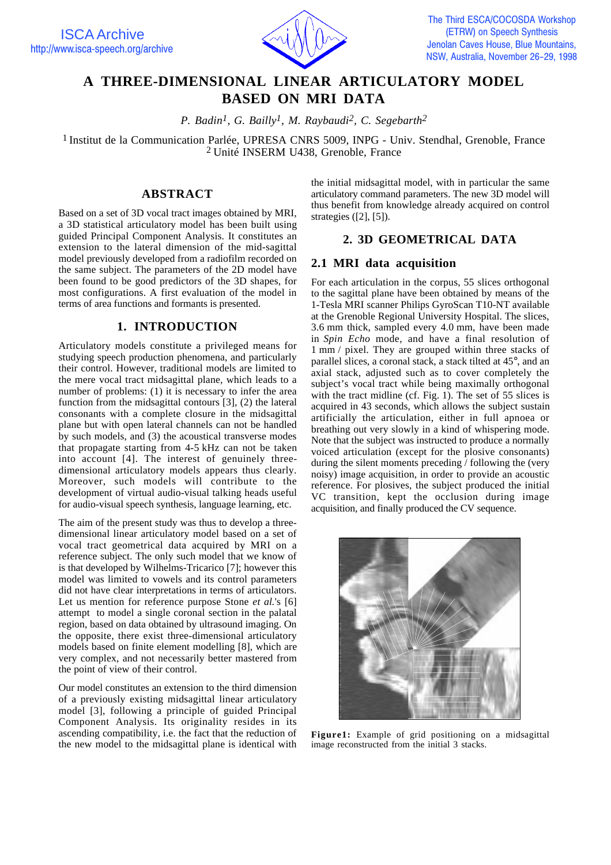

# **A THREE-DIMENSIONAL LINEAR ARTICULATORY MODEL BASED ON MRI DATA**

*P. Badin1, G. Bailly1, M. Raybaudi2, C. Segebarth2*

<sup>1</sup> Institut de la Communication Parlée, UPRESA CNRS 5009, INPG - Univ. Stendhal, Grenoble, France 2 Unité INSERM U438, Grenoble, France

### **ABSTRACT**

Based on a set of 3D vocal tract images obtained by MRI, a 3D statistical articulatory model has been built using guided Principal Component Analysis. It constitutes an extension to the lateral dimension of the mid-sagittal model previously developed from a radiofilm recorded on the same subject. The parameters of the 2D model have been found to be good predictors of the 3D shapes, for most configurations. A first evaluation of the model in terms of area functions and formants is presented.

### **1. INTRODUCTION**

Articulatory models constitute a privileged means for studying speech production phenomena, and particularly their control. However, traditional models are limited to the mere vocal tract midsagittal plane, which leads to a number of problems: (1) it is necessary to infer the area function from the midsagittal contours [3], (2) the lateral consonants with a complete closure in the midsagittal plane but with open lateral channels can not be handled by such models, and (3) the acoustical transverse modes that propagate starting from 4-5 kHz can not be taken into account [4]. The interest of genuinely threedimensional articulatory models appears thus clearly. Moreover, such models will contribute to the development of virtual audio-visual talking heads useful for audio-visual speech synthesis, language learning, etc.

The aim of the present study was thus to develop a threedimensional linear articulatory model based on a set of vocal tract geometrical data acquired by MRI on a reference subject. The only such model that we know of is that developed by Wilhelms-Tricarico [7]; however this model was limited to vowels and its control parameters did not have clear interpretations in terms of articulators. Let us mention for reference purpose Stone *et al.*'s [6] attempt to model a single coronal section in the palatal region, based on data obtained by ultrasound imaging. On the opposite, there exist three-dimensional articulatory models based on finite element modelling [8], which are very complex, and not necessarily better mastered from the point of view of their control.

Our model constitutes an extension to the third dimension of a previously existing midsagittal linear articulatory model [3], following a principle of guided Principal Component Analysis. Its originality resides in its ascending compatibility, i.e. the fact that the reduction of the new model to the midsagittal plane is identical with the initial midsagittal model, with in particular the same articulatory command parameters. The new 3D model will thus benefit from knowledge already acquired on control strategies ([2], [5]).

#### **2. 3D GEOMETRICAL DATA**

### **2.1 MRI data acquisition**

For each articulation in the corpus, 55 slices orthogonal to the sagittal plane have been obtained by means of the 1-Tesla MRI scanner Philips GyroScan T10-NT available at the Grenoble Regional University Hospital. The slices, 3.6 mm thick, sampled every 4.0 mm, have been made in *Spin Echo* mode, and have a final resolution of 1 mm / pixel. They are grouped within three stacks of parallel slices, a coronal stack, a stack tilted at 45°, and an axial stack, adjusted such as to cover completely the subject's vocal tract while being maximally orthogonal with the tract midline (cf. Fig. 1). The set of 55 slices is acquired in 43 seconds, which allows the subject sustain artificially the articulation, either in full apnoea or breathing out very slowly in a kind of whispering mode. Note that the subject was instructed to produce a normally voiced articulation (except for the plosive consonants) during the silent moments preceding / following the (very noisy) image acquisition, in order to provide an acoustic reference. For plosives, the subject produced the initial VC transition, kept the occlusion during image acquisition, and finally produced the CV sequence.



**Figure1:** Example of grid positioning on a midsagittal image reconstructed from the initial 3 stacks.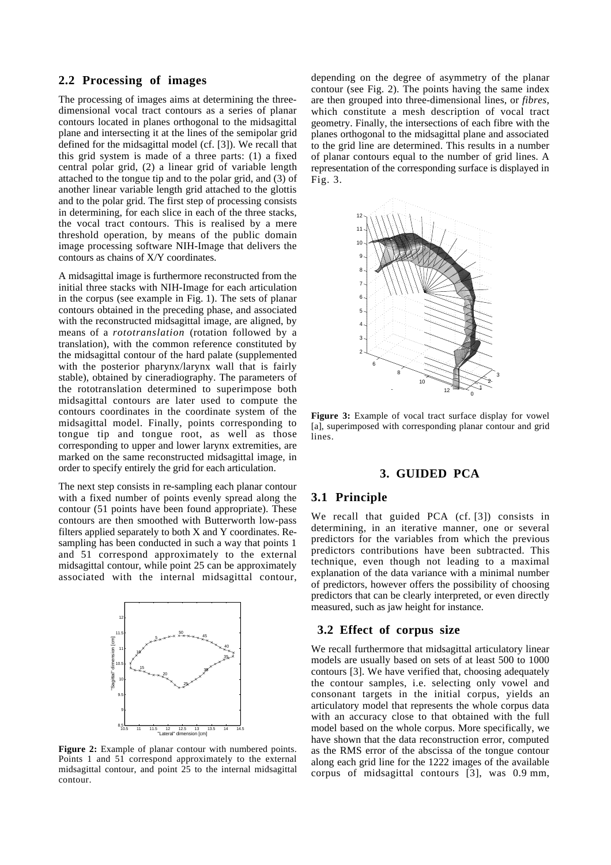### **2.2 Processing of images**

The processing of images aims at determining the threedimensional vocal tract contours as a series of planar contours located in planes orthogonal to the midsagittal plane and intersecting it at the lines of the semipolar grid defined for the midsagittal model (cf. [3]). We recall that this grid system is made of a three parts: (1) a fixed central polar grid, (2) a linear grid of variable length attached to the tongue tip and to the polar grid, and (3) of another linear variable length grid attached to the glottis and to the polar grid. The first step of processing consists in determining, for each slice in each of the three stacks, the vocal tract contours. This is realised by a mere threshold operation, by means of the public domain image processing software NIH-Image that delivers the contours as chains of X/Y coordinates.

A midsagittal image is furthermore reconstructed from the initial three stacks with NIH-Image for each articulation in the corpus (see example in Fig. 1). The sets of planar contours obtained in the preceding phase, and associated with the reconstructed midsagittal image, are aligned, by means of a *rototranslation* (rotation followed by a translation), with the common reference constituted by the midsagittal contour of the hard palate (supplemented with the posterior pharynx/larynx wall that is fairly stable), obtained by cineradiography. The parameters of the rototranslation determined to superimpose both midsagittal contours are later used to compute the contours coordinates in the coordinate system of the midsagittal model. Finally, points corresponding to tongue tip and tongue root, as well as those corresponding to upper and lower larynx extremities, are marked on the same reconstructed midsagittal image, in order to specify entirely the grid for each articulation.

The next step consists in re-sampling each planar contour with a fixed number of points evenly spread along the contour (51 points have been found appropriate). These contours are then smoothed with Butterworth low-pass filters applied separately to both X and Y coordinates. Resampling has been conducted in such a way that points 1 and 51 correspond approximately to the external midsagittal contour, while point 25 can be approximately associated with the internal midsagittal contour,



**Figure 2:** Example of planar contour with numbered points. Points 1 and 51 correspond approximately to the external midsagittal contour, and point 25 to the internal midsagittal contour.

depending on the degree of asymmetry of the planar contour (see Fig. 2). The points having the same index are then grouped into three-dimensional lines, or *fibres*, which constitute a mesh description of vocal tract geometry. Finally, the intersections of each fibre with the planes orthogonal to the midsagittal plane and associated to the grid line are determined. This results in a number of planar contours equal to the number of grid lines. A representation of the corresponding surface is displayed in Fig. 3.



**Figure 3:** Example of vocal tract surface display for vowel [a], superimposed with corresponding planar contour and grid lines.

#### **3. GUIDED PCA**

#### **3.1 Principle**

We recall that guided PCA (cf. [3]) consists in determining, in an iterative manner, one or several predictors for the variables from which the previous predictors contributions have been subtracted. This technique, even though not leading to a maximal explanation of the data variance with a minimal number of predictors, however offers the possibility of choosing predictors that can be clearly interpreted, or even directly measured, such as jaw height for instance.

#### **3.2 Effect of corpus size**

We recall furthermore that midsagittal articulatory linear models are usually based on sets of at least 500 to 1000 contours [3]. We have verified that, choosing adequately the contour samples, i.e. selecting only vowel and consonant targets in the initial corpus, yields an articulatory model that represents the whole corpus data with an accuracy close to that obtained with the full model based on the whole corpus. More specifically, we have shown that the data reconstruction error, computed as the RMS error of the abscissa of the tongue contour along each grid line for the 1222 images of the available corpus of midsagittal contours [3], was 0.9 mm,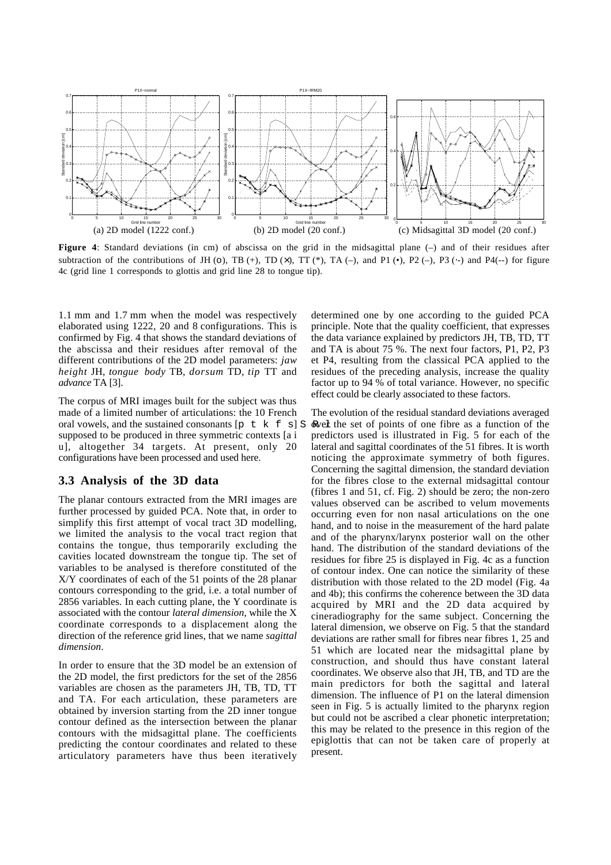

**Figure 4:** Standard deviations (in cm) of abscissa on the grid in the midsagittal plane (–) and of their residues after subtraction of the contributions of JH (o), TB (+), TD ( $\times$ ), TT (\*), TA (-), and P1 (•), P2 (-), P3 ( $\cdot$ -) and P4( $\cdot$ -) for figure 4c (grid line 1 corresponds to glottis and grid line 28 to tongue tip).

1.1 mm and 1.7 mm when the model was respectively elaborated using 1222, 20 and 8 configurations. This is confirmed by Fig. 4 that shows the standard deviations of the abscissa and their residues after removal of the different contributions of the 2D model parameters: *jaw height* JH, *tongue body* TB, *dorsum* TD, *tip* TT and *advance* TA [3].

The corpus of MRI images built for the subject was thus made of a limited number of articulations: the 10 French oral vowels, and the sustained consonants  $[p \mid k \in S]$  S supposed to be produced in three symmetric contexts [a i u], altogether 34 targets. At present, only 20 configurations have been processed and used here.

#### **3.3 Analysis of the 3D data**

The planar contours extracted from the MRI images are further processed by guided PCA. Note that, in order to simplify this first attempt of vocal tract 3D modelling, we limited the analysis to the vocal tract region that contains the tongue, thus temporarily excluding the cavities located downstream the tongue tip. The set of variables to be analysed is therefore constituted of the X/Y coordinates of each of the 51 points of the 28 planar contours corresponding to the grid, i.e. a total number of 2856 variables. In each cutting plane, the Y coordinate is associated with the contour *lateral dimension*, while the X coordinate corresponds to a displacement along the direction of the reference grid lines, that we name *sagittal dimension*.

In order to ensure that the 3D model be an extension of the 2D model, the first predictors for the set of the 2856 variables are chosen as the parameters JH, TB, TD, TT and TA. For each articulation, these parameters are obtained by inversion starting from the 2D inner tongue contour defined as the intersection between the planar contours with the midsagittal plane. The coefficients predicting the contour coordinates and related to these articulatory parameters have thus been iteratively determined one by one according to the guided PCA principle. Note that the quality coefficient, that expresses the data variance explained by predictors JH, TB, TD, TT and TA is about 75 %. The next four factors, P1, P2, P3 et P4, resulting from the classical PCA applied to the residues of the preceding analysis, increase the quality factor up to 94 % of total variance. However, no specific effect could be clearly associated to these factors.

The evolution of the residual standard deviations averaged over the set of points of one fibre as a function of the predictors used is illustrated in Fig. 5 for each of the lateral and sagittal coordinates of the 51 fibres. It is worth noticing the approximate symmetry of both figures. Concerning the sagittal dimension, the standard deviation for the fibres close to the external midsagittal contour (fibres 1 and 51, cf. Fig. 2) should be zero; the non-zero values observed can be ascribed to velum movements occurring even for non nasal articulations on the one hand, and to noise in the measurement of the hard palate and of the pharynx/larynx posterior wall on the other hand. The distribution of the standard deviations of the residues for fibre 25 is displayed in Fig. 4c as a function of contour index. One can notice the similarity of these distribution with those related to the 2D model (Fig. 4a and 4b); this confirms the coherence between the 3D data acquired by MRI and the 2D data acquired by cineradiography for the same subject. Concerning the lateral dimension, we observe on Fig. 5 that the standard deviations are rather small for fibres near fibres 1, 25 and 51 which are located near the midsagittal plane by construction, and should thus have constant lateral coordinates. We observe also that JH, TB, and TD are the main predictors for both the sagittal and lateral dimension. The influence of P1 on the lateral dimension seen in Fig. 5 is actually limited to the pharynx region but could not be ascribed a clear phonetic interpretation; this may be related to the presence in this region of the epiglottis that can not be taken care of properly at present.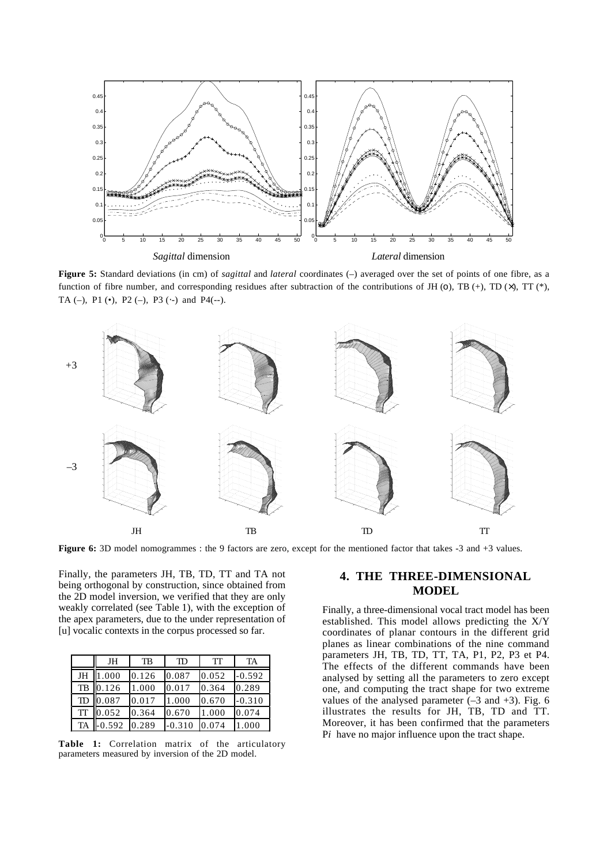

**Figure 5:** Standard deviations (in cm) of *sagittal* and *lateral* coordinates (–) averaged over the set of points of one fibre, as a function of fibre number, and corresponding residues after subtraction of the contributions of JH (0), TB (+), TD ( $\times$ ), TT ( $*$ ), TA (–), P1 $(\bullet)$ , P2 $(-)$ , P3 $(\cdot-)$  and P4 $(\cdot-)$ .



**Figure 6:** 3D model nomogrammes : the 9 factors are zero, except for the mentioned factor that takes -3 and +3 values.

Finally, the parameters JH, TB, TD, TT and TA not being orthogonal by construction, since obtained from the 2D model inversion, we verified that they are only weakly correlated (see Table 1), with the exception of the apex parameters, due to the under representation of [u] vocalic contexts in the corpus processed so far.

|           | JH       | TB    | TD       | TТ    | TA       |
|-----------|----------|-------|----------|-------|----------|
| JH        | 1.000    | 0.126 | 0.087    | 0.052 | $-0.592$ |
| TB        | 0.126    | 1.000 | 0.017    | 0.364 | 0.289    |
| TD        | 0.087    | 0.017 | 1.000    | 0.670 | $-0.310$ |
| TT        | 0.052    | 0.364 | 0.670    | 1.000 | 0.074    |
| <b>TA</b> | $-0.592$ | 0.289 | $-0.310$ | 0.074 | 1.000    |

**Table 1:** Correlation matrix of the articulatory parameters measured by inversion of the 2D model.

#### **4. THE THREE-DIMENSIONAL MODEL**

Finally, a three-dimensional vocal tract model has been established. This model allows predicting the X/Y coordinates of planar contours in the different grid planes as linear combinations of the nine command parameters JH, TB, TD, TT, TA, P1, P2, P3 et P4. The effects of the different commands have been analysed by setting all the parameters to zero except one, and computing the tract shape for two extreme values of the analysed parameter  $(-3 \text{ and } +3)$ . Fig. 6 illustrates the results for JH, TB, TD and TT. Moreover, it has been confirmed that the parameters P*i* have no major influence upon the tract shape.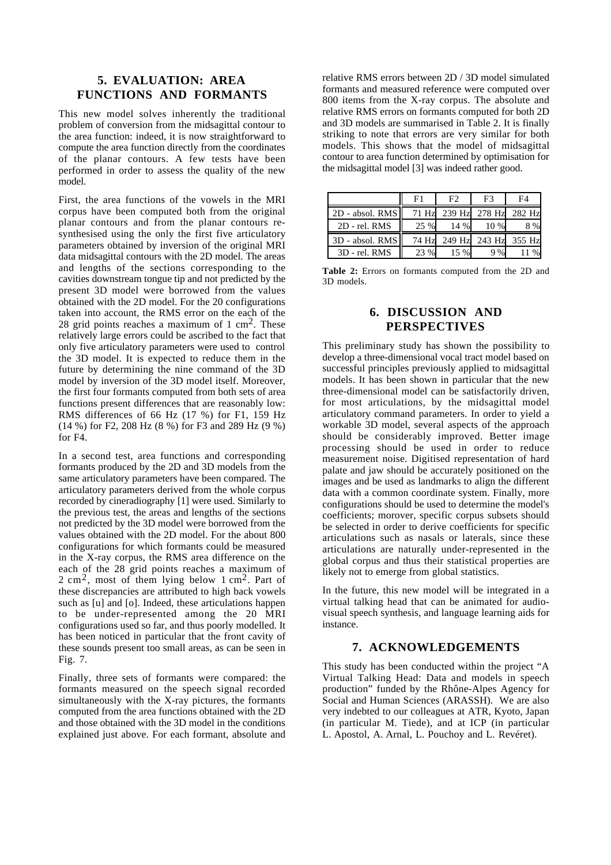## **5. EVALUATION: AREA FUNCTIONS AND FORMANTS**

This new model solves inherently the traditional problem of conversion from the midsagittal contour to the area function: indeed, it is now straightforward to compute the area function directly from the coordinates of the planar contours. A few tests have been performed in order to assess the quality of the new model.

First, the area functions of the vowels in the MRI corpus have been computed both from the original planar contours and from the planar contours resynthesised using the only the first five articulatory parameters obtained by inversion of the original MRI data midsagittal contours with the 2D model. The areas and lengths of the sections corresponding to the cavities downstream tongue tip and not predicted by the present 3D model were borrowed from the values obtained with the 2D model. For the 20 configurations taken into account, the RMS error on the each of the 28 grid points reaches a maximum of  $1 \text{ cm}^2$ . These relatively large errors could be ascribed to the fact that only five articulatory parameters were used to control the 3D model. It is expected to reduce them in the future by determining the nine command of the 3D model by inversion of the 3D model itself. Moreover, the first four formants computed from both sets of area functions present differences that are reasonably low: RMS differences of 66 Hz (17 %) for F1, 159 Hz (14 %) for F2, 208 Hz (8 %) for F3 and 289 Hz (9 %) for F4.

In a second test, area functions and corresponding formants produced by the 2D and 3D models from the same articulatory parameters have been compared. The articulatory parameters derived from the whole corpus recorded by cineradiography [1] were used. Similarly to the previous test, the areas and lengths of the sections not predicted by the 3D model were borrowed from the values obtained with the 2D model. For the about 800 configurations for which formants could be measured in the X-ray corpus, the RMS area difference on the each of the 28 grid points reaches a maximum of 2 cm2, most of them lying below 1 cm2. Part of these discrepancies are attributed to high back vowels such as [u] and [o]. Indeed, these articulations happen to be under-represented among the 20 MRI configurations used so far, and thus poorly modelled. It has been noticed in particular that the front cavity of these sounds present too small areas, as can be seen in Fig. 7.

Finally, three sets of formants were compared: the formants measured on the speech signal recorded simultaneously with the X-ray pictures, the formants computed from the area functions obtained with the 2D and those obtained with the 3D model in the conditions explained just above. For each formant, absolute and relative RMS errors between 2D / 3D model simulated formants and measured reference were computed over 800 items from the X-ray corpus. The absolute and relative RMS errors on formants computed for both 2D and 3D models are summarised in Table 2. It is finally striking to note that errors are very similar for both models. This shows that the model of midsagittal contour to area function determined by optimisation for the midsagittal model [3] was indeed rather good.

|                 | F1    | F2     | F3                   | F4 |
|-----------------|-------|--------|----------------------|----|
| 2D - absol. RMS | 71 Hz |        | 239 Hz 278 Hz 282 Hz |    |
| 2D - rel. RMS   | 25 %  | 14 %   | 10 %                 | 8% |
| 3D - absol. RMS | 74 Hz |        | 249 Hz 243 Hz 355 Hz |    |
| 3D - rel. RMS   | 0/2   | $15\%$ | 9%                   |    |

**Table 2:** Errors on formants computed from the 2D and 3D models.

### **6. DISCUSSION AND PERSPECTIVES**

This preliminary study has shown the possibility to develop a three-dimensional vocal tract model based on successful principles previously applied to midsagittal models. It has been shown in particular that the new three-dimensional model can be satisfactorily driven, for most articulations, by the midsagittal model articulatory command parameters. In order to yield a workable 3D model, several aspects of the approach should be considerably improved. Better image processing should be used in order to reduce measurement noise. Digitised representation of hard palate and jaw should be accurately positioned on the images and be used as landmarks to align the different data with a common coordinate system. Finally, more configurations should be used to determine the model's coefficients; morover, specific corpus subsets should be selected in order to derive coefficients for specific articulations such as nasals or laterals, since these articulations are naturally under-represented in the global corpus and thus their statistical properties are likely not to emerge from global statistics.

In the future, this new model will be integrated in a virtual talking head that can be animated for audiovisual speech synthesis, and language learning aids for instance.

## **7. ACKNOWLEDGEMENTS**

This study has been conducted within the project "A Virtual Talking Head: Data and models in speech production" funded by the Rhône-Alpes Agency for Social and Human Sciences (ARASSH). We are also very indebted to our colleagues at ATR, Kyoto, Japan (in particular M. Tiede), and at ICP (in particular L. Apostol, A. Arnal, L. Pouchoy and L. Revéret).